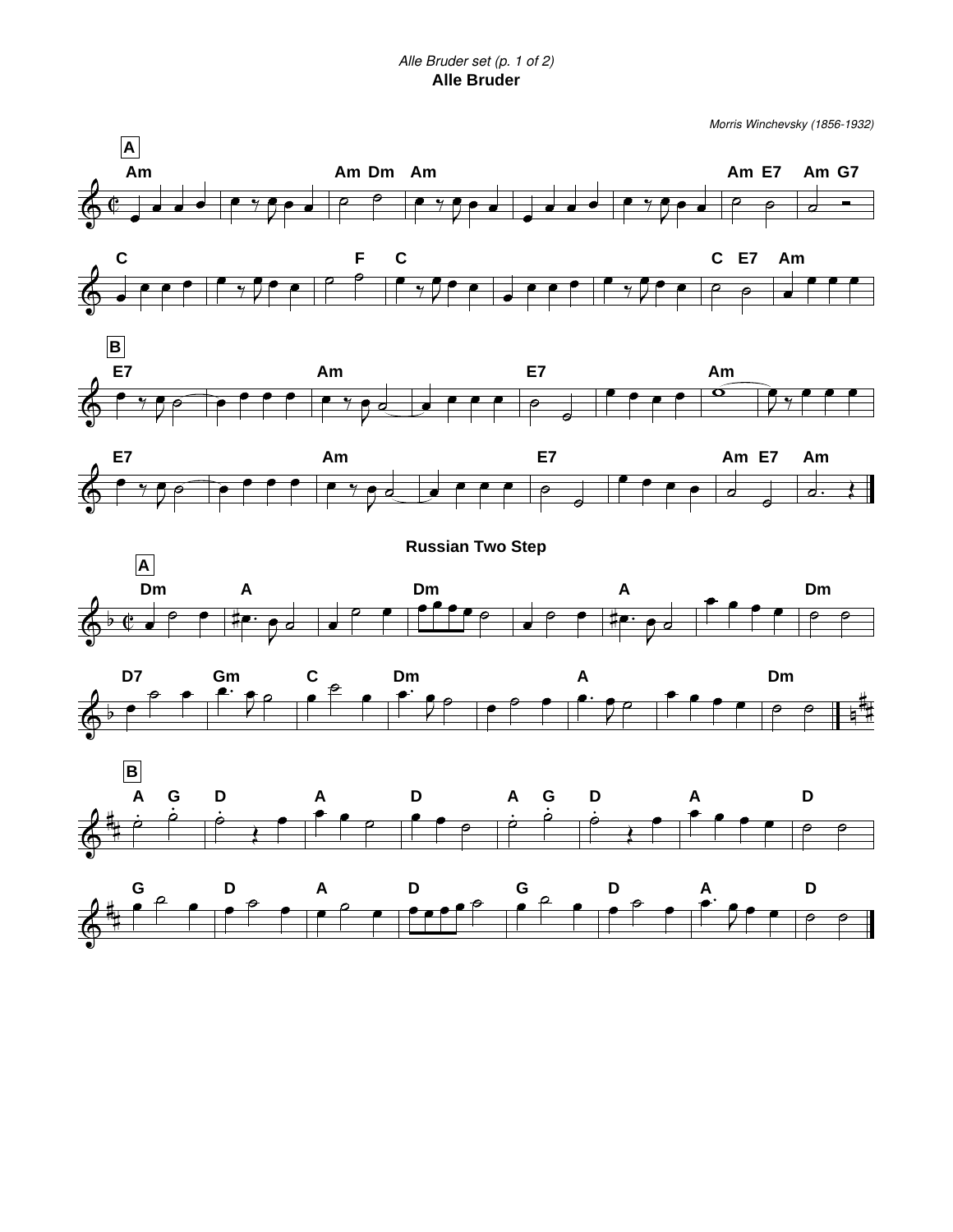## *Alle Bruder set (p. 1 of 2)* **Alle Bruder**

*Morris Winchevsky (1856-1932)*

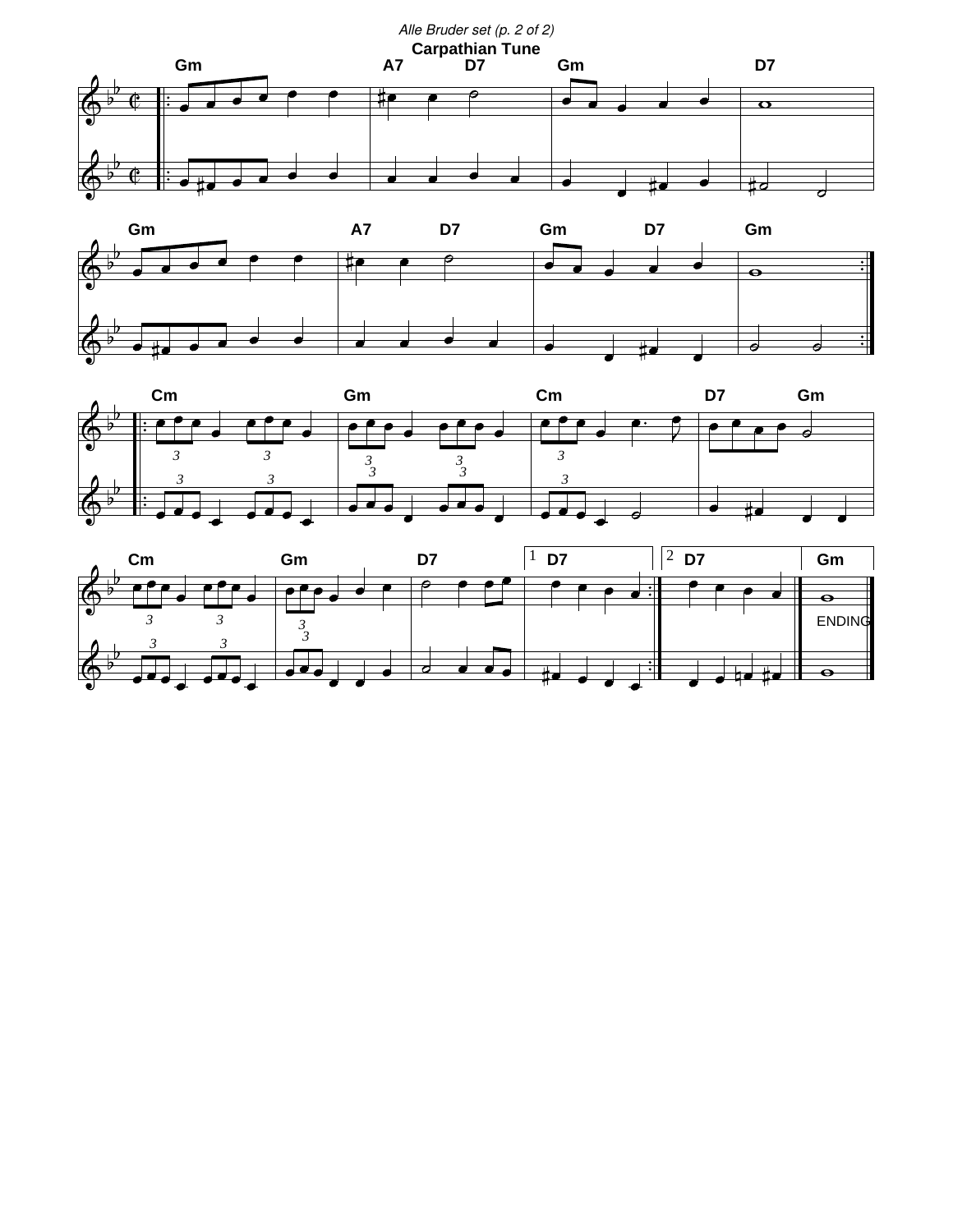